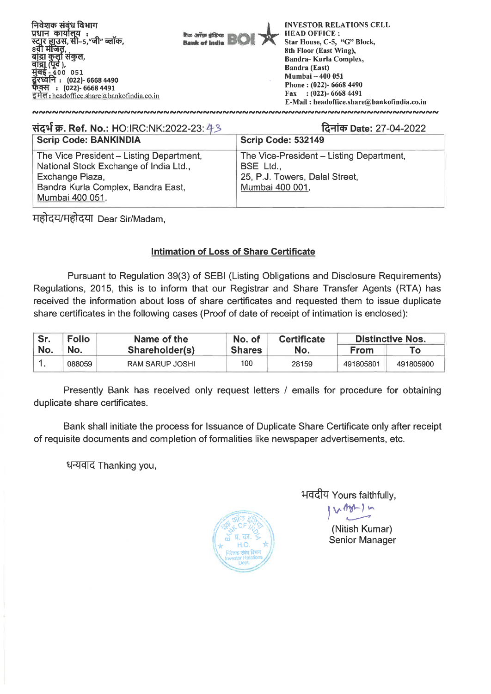

| संदर्भ क्र. Ref. No.: HO:IRC:NK:2022-23: 43                                                                                                                    | दिनांक Date: 27-04-2022                                                                                    |  |  |
|----------------------------------------------------------------------------------------------------------------------------------------------------------------|------------------------------------------------------------------------------------------------------------|--|--|
| <b>Scrip Code: BANKINDIA</b>                                                                                                                                   | <b>Scrip Code: 532149</b>                                                                                  |  |  |
| The Vice President - Listing Department,<br>National Stock Exchange of India Ltd.,<br>Exchange Plaza,<br>Bandra Kurla Complex, Bandra East,<br>Mumbai 400 051. | The Vice-President - Listing Department,<br>BSE Ltd.,<br>25, P.J. Towers, Dalal Street,<br>Mumbai 400 001. |  |  |

**ftE111:1fttfT Dear Sir/Madam,** 

## **Intimation of Loss of Share Certificate**

**Pursuant to Regulation** 39(3) **of SEBI (Listing Obligations and Disclosure Requirements) Regulations, 2015, this is to inform that our Registrar and Share Transfer Agents (RTA) has received the information about loss of share certificates and requested them to issue duplicate share certificates in the following cases (Proof of date of receipt of intimation is enclosed):** 

| Sr. | <b>Folio</b> | Name of the     | No. of        | <b>Certificate</b> | <b>Distinctive Nos.</b> |           |
|-----|--------------|-----------------|---------------|--------------------|-------------------------|-----------|
| No. | No.          | Shareholder(s)  | <b>Shares</b> | No.                | <b>From</b>             | τо⊤       |
|     | 088059       | RAM SARUP JOSHI | 100           | 28159              | 491805801               | 491805900 |

**Presently Bank has received only request letters / emails for procedure for obtaining duplicate share certificates.** 

**Bank shall initiate the process for Issuance of Duplicate Share Certificate only after receipt of requisite documents and completion of formalities like newspaper advertisements, etc.** 

**धन्यवाद Thanking you,** 



<sup>1</sup>-1-4417 **Yours faithfully,** 

**v** (- 1 w

**(Nitish Kumar) Senior Manager**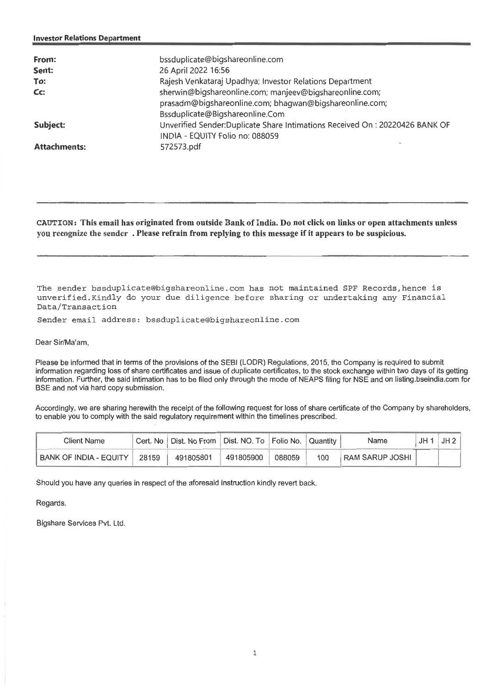| From:<br>Sent:<br>To:<br>Cc: | bssduplicate@bigshareonline.com<br>26 April 2022 16:56<br>Rajesh Venkataraj Upadhya; Investor Relations Department<br>sherwin@bigshareonline.com; manjeev@bigshareonline.com;<br>prasadm@bigshareonline.com; bhagwan@bigshareonline.com;<br>Bssduplicate@Bigshareonline.Com |
|------------------------------|-----------------------------------------------------------------------------------------------------------------------------------------------------------------------------------------------------------------------------------------------------------------------------|
| Subject:                     | Unverified Sender: Duplicate Share Intimations Received On: 20220426 BANK OF<br>INDIA - EQUITY Folio no: 088059                                                                                                                                                             |
| <b>Attachments:</b>          | 572573.pdf                                                                                                                                                                                                                                                                  |

**CAUTION:** This email has originated from outside Bank of India. Do not click on links or open attachments unless you recognize the sender . Please refrain from replying to this message if it appears to be suspicious.

The sender bssduplicate@bigshareonline.com has not maintained SPF Records,hence is unverified.Kindly do your due diligence before sharing or undertaking any Financial Data/Transaction

Sender email address: bssduplicate@bigshareonline.com

Dear Sir/Ma'am,

Please be informed that in terms of the provisions of the SEBI (LODR) Regulations, 2015, the Company is required to submit information regarding loss of share certificates and issue of duplicate certificates, to the stock exchange within two days of its getting information. Further, the said intimation has to be filed only through the mode of NEAPS filing for NSE and on listing bseindia.com for BSE and not via hard copy submission.

Accordingly, we are sharing herewith the receipt of the following request for loss of share certificate of the Company by shareholders, to enable you to comply with the said regulatory requirement within the timelines prescribed.

| Client Name              |       | Cert. No   Dist. No From   Dist. NO. To   Folio No.   Quantity |           |        |     | Name                   | $JH1$ $JH2$ |
|--------------------------|-------|----------------------------------------------------------------|-----------|--------|-----|------------------------|-------------|
| BANK OF INDIA - EQUITY I | 28159 | 491805801                                                      | 491805900 | 088059 | 100 | <b>RAM SARUP JOSHI</b> |             |

Should you have any queries in respect of the aforesaid instruction kindly revert back.

Regards,

Bigshare Services Pvt. Ltd.